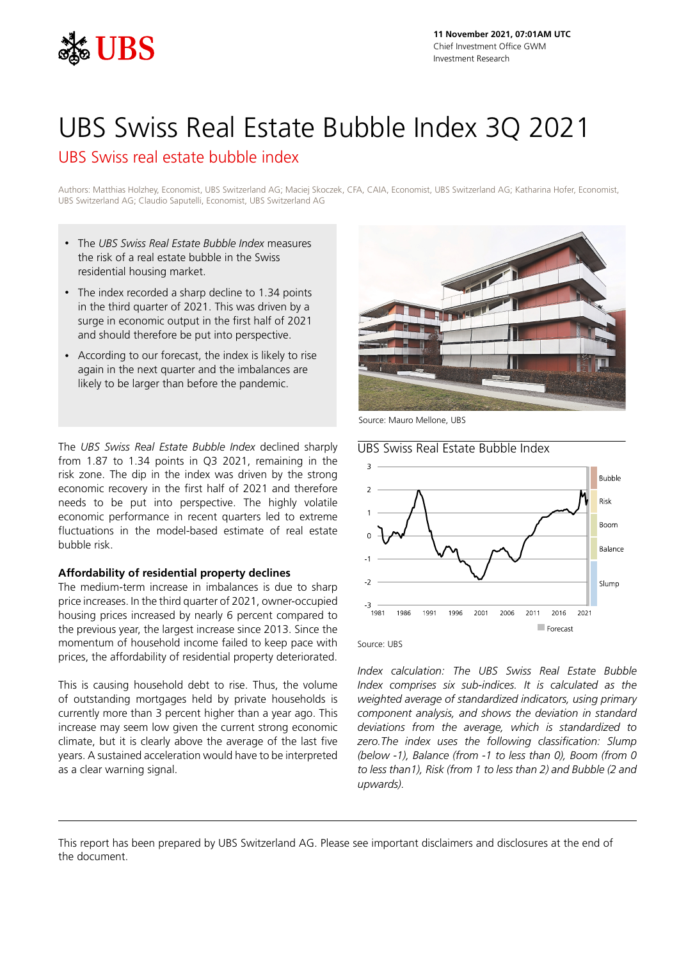

# UBS Swiss Real Estate Bubble Index 3Q 2021

UBS Swiss real estate bubble index

Authors: Matthias Holzhey, Economist, UBS Switzerland AG; Maciej Skoczek, CFA, CAIA, Economist, UBS Switzerland AG; Katharina Hofer, Economist, UBS Switzerland AG; Claudio Saputelli, Economist, UBS Switzerland AG

- The *UBS Swiss Real Estate Bubble Index* measures the risk of a real estate bubble in the Swiss residential housing market.
- The index recorded a sharp decline to 1.34 points in the third quarter of 2021. This was driven by a surge in economic output in the first half of 2021 and should therefore be put into perspective.
- According to our forecast, the index is likely to rise again in the next quarter and the imbalances are likely to be larger than before the pandemic.

The *UBS Swiss Real Estate Bubble Index* declined sharply from 1.87 to 1.34 points in Q3 2021, remaining in the risk zone. The dip in the index was driven by the strong economic recovery in the first half of 2021 and therefore needs to be put into perspective. The highly volatile economic performance in recent quarters led to extreme fluctuations in the model-based estimate of real estate bubble risk.

## **Affordability of residential property declines**

The medium-term increase in imbalances is due to sharp price increases. In the third quarter of 2021, owner-occupied housing prices increased by nearly 6 percent compared to the previous year, the largest increase since 2013. Since the momentum of household income failed to keep pace with prices, the affordability of residential property deteriorated.

This is causing household debt to rise. Thus, the volume of outstanding mortgages held by private households is currently more than 3 percent higher than a year ago. This increase may seem low given the current strong economic climate, but it is clearly above the average of the last five years. A sustained acceleration would have to be interpreted as a clear warning signal.



Source: Mauro Mellone, UBS

UBS Swiss Real Estate Bubble Index



#### Source: UBS

*Index calculation: The UBS Swiss Real Estate Bubble Index comprises six sub-indices. It is calculated as the weighted average of standardized indicators, using primary component analysis, and shows the deviation in standard deviations from the average, which is standardized to zero.The index uses the following classification: Slump (below -1), Balance (from -1 to less than 0), Boom (from 0 to less than1), Risk (from 1 to less than 2) and Bubble (2 and upwards).*

This report has been prepared by UBS Switzerland AG. Please see important disclaimers and disclosures at the end of the document.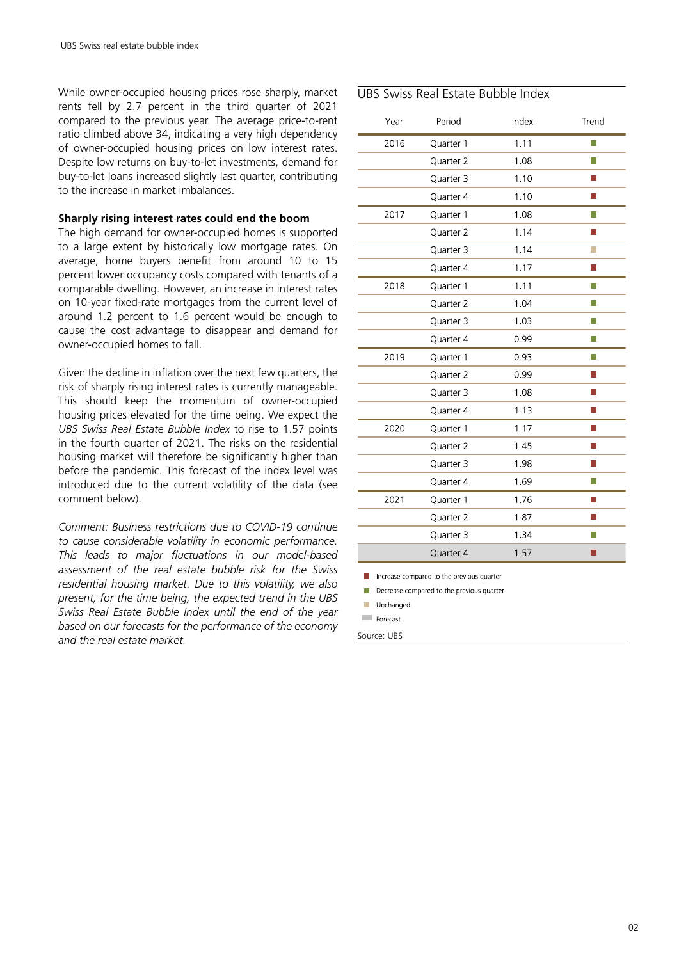While owner-occupied housing prices rose sharply, market rents fell by 2.7 percent in the third quarter of 2021 compared to the previous year. The average price-to-rent ratio climbed above 34, indicating a very high dependency of owner-occupied housing prices on low interest rates. Despite low returns on buy-to-let investments, demand for buy-to-let loans increased slightly last quarter, contributing to the increase in market imbalances.

### **Sharply rising interest rates could end the boom**

The high demand for owner-occupied homes is supported to a large extent by historically low mortgage rates. On average, home buyers benefit from around 10 to 15 percent lower occupancy costs compared with tenants of a comparable dwelling. However, an increase in interest rates on 10-year fixed-rate mortgages from the current level of around 1.2 percent to 1.6 percent would be enough to cause the cost advantage to disappear and demand for owner-occupied homes to fall.

Given the decline in inflation over the next few quarters, the risk of sharply rising interest rates is currently manageable. This should keep the momentum of owner-occupied housing prices elevated for the time being. We expect the *UBS Swiss Real Estate Bubble Index* to rise to 1.57 points in the fourth quarter of 2021. The risks on the residential housing market will therefore be significantly higher than before the pandemic. This forecast of the index level was introduced due to the current volatility of the data (see comment below).

*Comment: Business restrictions due to COVID-19 continue to cause considerable volatility in economic performance. This leads to major fluctuations in our model-based assessment of the real estate bubble risk for the Swiss residential housing market. Due to this volatility, we also present, for the time being, the expected trend in the UBS Swiss Real Estate Bubble Index until the end of the year based on our forecasts for the performance of the economy and the real estate market.*

## UBS Swiss Real Estate Bubble Index

| Year | Period    | Index | Trend                  |
|------|-----------|-------|------------------------|
| 2016 | Quarter 1 | 1.11  | П                      |
|      | Quarter 2 | 1.08  | П                      |
|      | Quarter 3 | 1.10  |                        |
|      | Quarter 4 | 1.10  |                        |
| 2017 | Quarter 1 | 1.08  | П                      |
|      | Quarter 2 | 1.14  | <b>Service Service</b> |
|      | Quarter 3 | 1.14  | П                      |
|      | Quarter 4 | 1.17  | F                      |
| 2018 | Quarter 1 | 1.11  | П                      |
|      | Quarter 2 | 1.04  | П                      |
|      | Quarter 3 | 1.03  | П                      |
|      | Quarter 4 | 099   | h.                     |
| 2019 | Quarter 1 | 093   | П                      |
|      | Quarter 2 | 0.99  |                        |
|      | Quarter 3 | 1.08  | <b>Service Service</b> |
|      | Quarter 4 | 1.13  |                        |
| 2020 | Quarter 1 | 1.17  | П                      |
|      | Quarter 2 | 1.45  |                        |
|      | Quarter 3 | 1.98  |                        |
|      | Quarter 4 | 1.69  | π                      |
| 2021 | Quarter 1 | 176   |                        |
|      | Quarter 2 | 187   |                        |
|      | Quarter 3 | 1 34  | П                      |
|      | Quarter 4 | 1.57  |                        |

 $\blacksquare$  Increase compared to the previous quarter

Decrease compared to the previous quarter

Unchanged

 $\Box$  Forecast

Source: UBS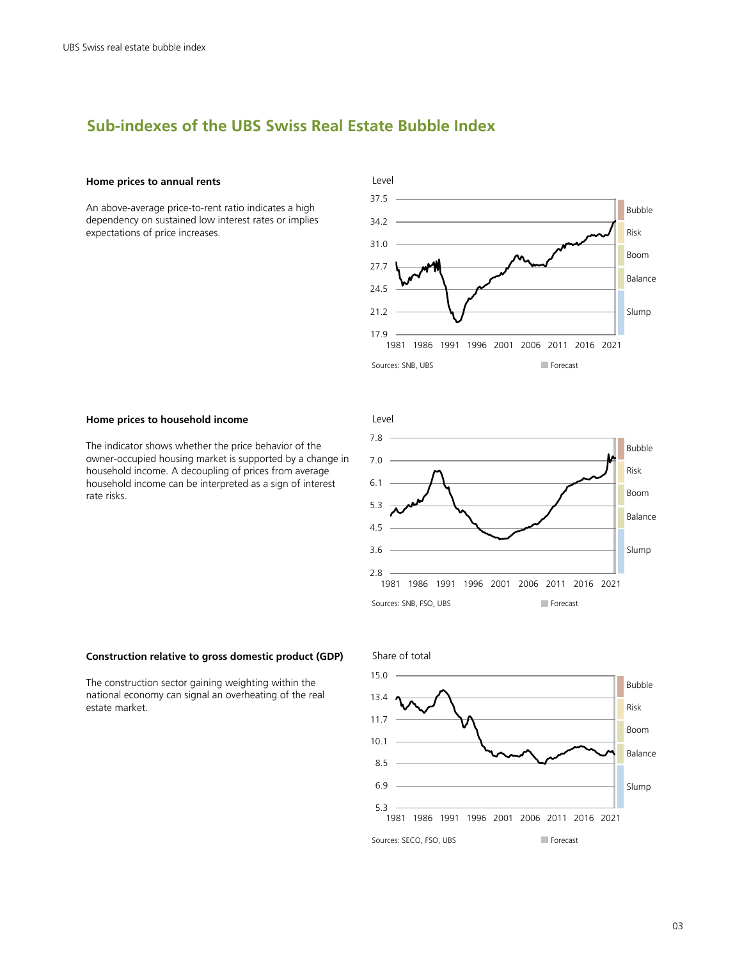# **Sub-indexes of the UBS Swiss Real Estate Bubble Index**

#### **Home prices to annual rents**

An above-average price-to-rent ratio indicates a high dependency on sustained low interest rates or implies expectations of price increases.



#### **Home prices to household income**

The indicator shows whether the price behavior of the owner-occupied housing market is supported by a change in household income. A decoupling of prices from average household income can be interpreted as a sign of interest rate risks.



#### **Construction relative to gross domestic product (GDP)**

The construction sector gaining weighting within the national economy can signal an overheating of the real estate market.

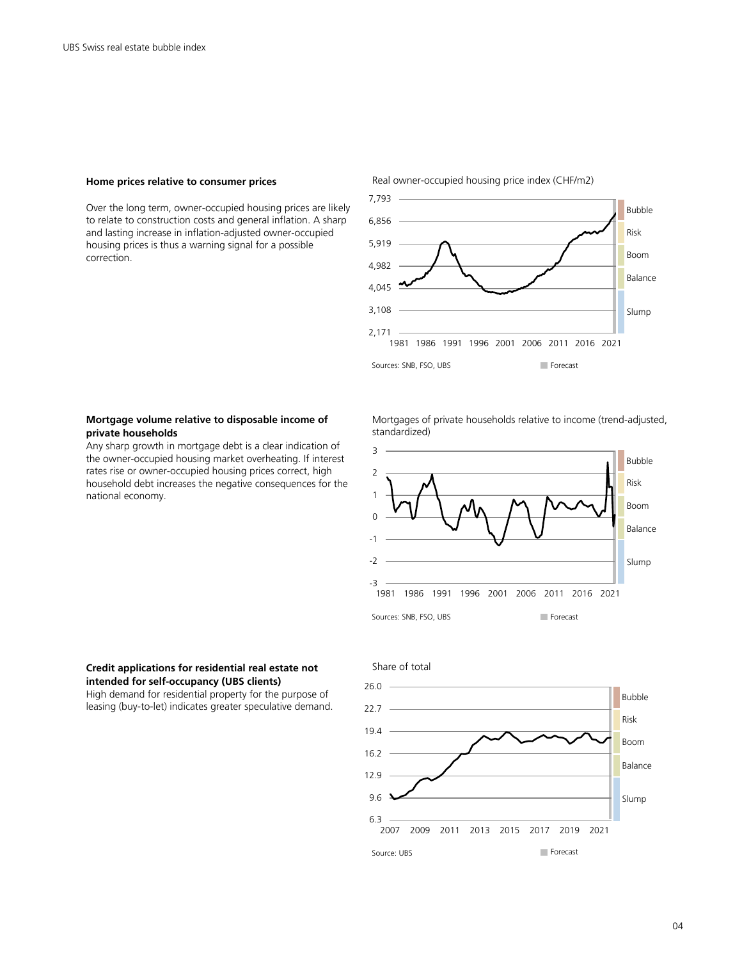#### **Home prices relative to consumer prices**

Over the long term, owner-occupied housing prices are likely to relate to construction costs and general inflation. A sharp and lasting increase in inflation-adjusted owner-occupied housing prices is thus a warning signal for a possible correction.



#### **Mortgage volume relative to disposable income of private households**

Any sharp growth in mortgage debt is a clear indication of the owner-occupied housing market overheating. If interest rates rise or owner-occupied housing prices correct, high household debt increases the negative consequences for the national economy.

Mortgages of private households relative to income (trend-adjusted, standardized)



#### **Credit applications for residential real estate not intended for self-occupancy (UBS clients)**

High demand for residential property for the purpose of leasing (buy-to-let) indicates greater speculative demand.



#### Real owner-occupied housing price index (CHF/m2)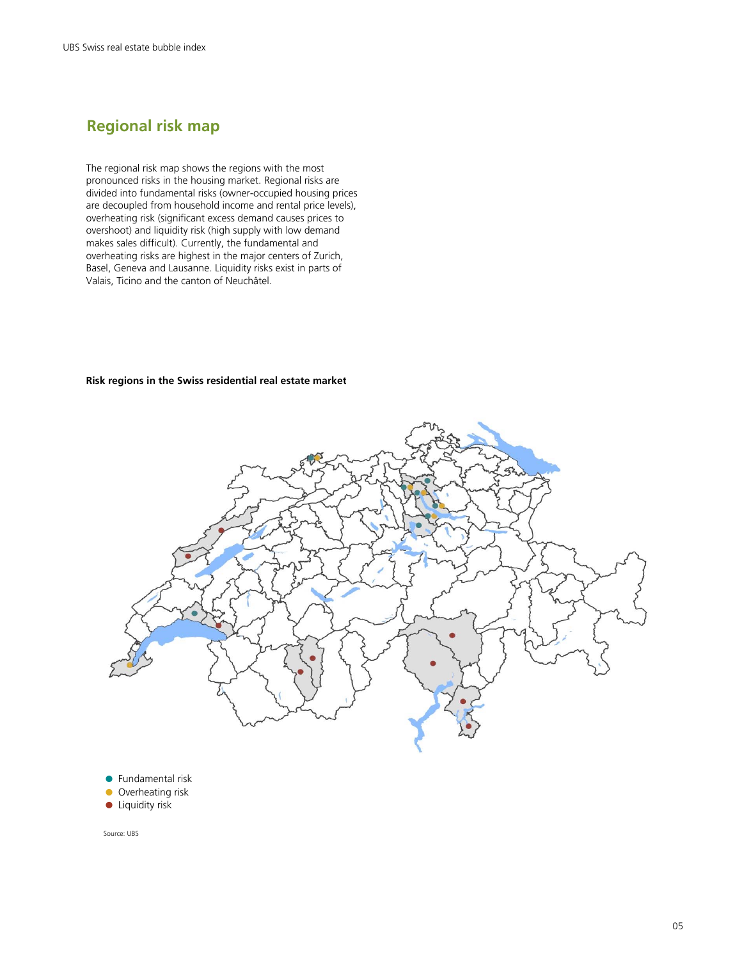# **Regional risk map**

The regional risk map shows the regions with the most pronounced risks in the housing market. Regional risks are divided into fundamental risks (owner-occupied housing prices are decoupled from household income and rental price levels), overheating risk (significant excess demand causes prices to overshoot) and liquidity risk (high supply with low demand makes sales difficult). Currently, the fundamental and overheating risks are highest in the major centers of Zurich, Basel, Geneva and Lausanne. Liquidity risks exist in parts of Valais, Ticino and the canton of Neuchâtel.

#### **Risk regions in the Swiss residential real estate market**



**<sup>•</sup>** Fundamental risk

- **Overheating risk**
- **•** Liquidity risk

Source: UBS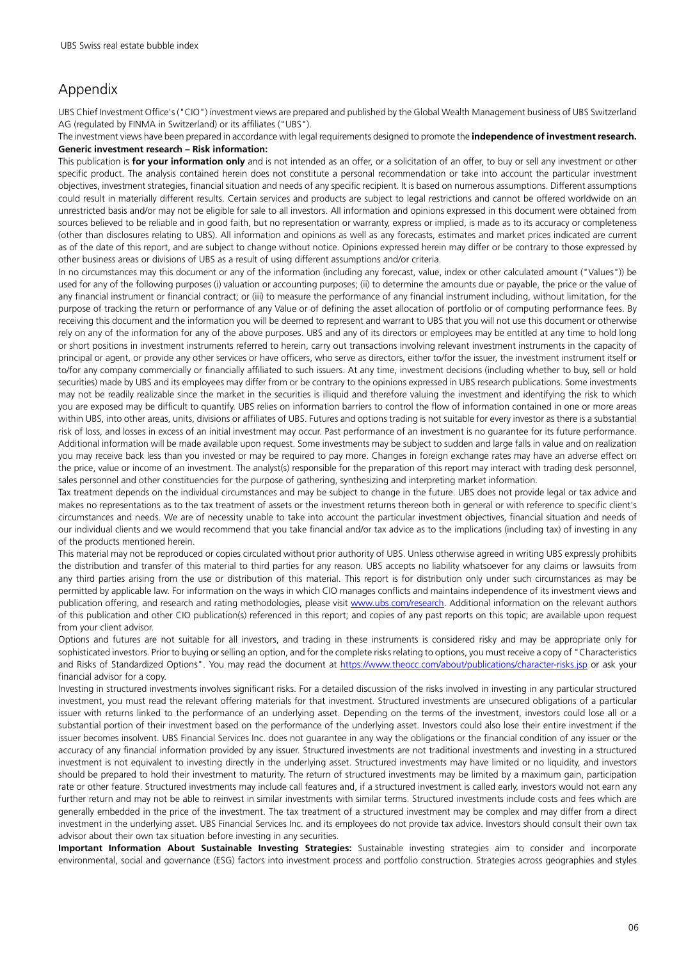# Appendix

UBS Chief Investment Office's ("CIO") investment views are prepared and published by the Global Wealth Management business of UBS Switzerland AG (regulated by FINMA in Switzerland) or its affiliates ("UBS").

The investment views have been prepared in accordance with legal requirements designed to promote the **independence of investment research. Generic investment research – Risk information:**

This publication is **for your information only** and is not intended as an offer, or a solicitation of an offer, to buy or sell any investment or other specific product. The analysis contained herein does not constitute a personal recommendation or take into account the particular investment objectives, investment strategies, financial situation and needs of any specific recipient. It is based on numerous assumptions. Different assumptions could result in materially different results. Certain services and products are subject to legal restrictions and cannot be offered worldwide on an unrestricted basis and/or may not be eligible for sale to all investors. All information and opinions expressed in this document were obtained from sources believed to be reliable and in good faith, but no representation or warranty, express or implied, is made as to its accuracy or completeness (other than disclosures relating to UBS). All information and opinions as well as any forecasts, estimates and market prices indicated are current as of the date of this report, and are subject to change without notice. Opinions expressed herein may differ or be contrary to those expressed by other business areas or divisions of UBS as a result of using different assumptions and/or criteria.

In no circumstances may this document or any of the information (including any forecast, value, index or other calculated amount ("Values")) be used for any of the following purposes (i) valuation or accounting purposes; (ii) to determine the amounts due or payable, the price or the value of any financial instrument or financial contract; or (iii) to measure the performance of any financial instrument including, without limitation, for the purpose of tracking the return or performance of any Value or of defining the asset allocation of portfolio or of computing performance fees. By receiving this document and the information you will be deemed to represent and warrant to UBS that you will not use this document or otherwise rely on any of the information for any of the above purposes. UBS and any of its directors or employees may be entitled at any time to hold long or short positions in investment instruments referred to herein, carry out transactions involving relevant investment instruments in the capacity of principal or agent, or provide any other services or have officers, who serve as directors, either to/for the issuer, the investment instrument itself or to/for any company commercially or financially affiliated to such issuers. At any time, investment decisions (including whether to buy, sell or hold securities) made by UBS and its employees may differ from or be contrary to the opinions expressed in UBS research publications. Some investments may not be readily realizable since the market in the securities is illiquid and therefore valuing the investment and identifying the risk to which you are exposed may be difficult to quantify. UBS relies on information barriers to control the flow of information contained in one or more areas within UBS, into other areas, units, divisions or affiliates of UBS. Futures and options trading is not suitable for every investor as there is a substantial risk of loss, and losses in excess of an initial investment may occur. Past performance of an investment is no guarantee for its future performance. Additional information will be made available upon request. Some investments may be subject to sudden and large falls in value and on realization you may receive back less than you invested or may be required to pay more. Changes in foreign exchange rates may have an adverse effect on the price, value or income of an investment. The analyst(s) responsible for the preparation of this report may interact with trading desk personnel, sales personnel and other constituencies for the purpose of gathering, synthesizing and interpreting market information.

Tax treatment depends on the individual circumstances and may be subject to change in the future. UBS does not provide legal or tax advice and makes no representations as to the tax treatment of assets or the investment returns thereon both in general or with reference to specific client's circumstances and needs. We are of necessity unable to take into account the particular investment objectives, financial situation and needs of our individual clients and we would recommend that you take financial and/or tax advice as to the implications (including tax) of investing in any of the products mentioned herein.

This material may not be reproduced or copies circulated without prior authority of UBS. Unless otherwise agreed in writing UBS expressly prohibits the distribution and transfer of this material to third parties for any reason. UBS accepts no liability whatsoever for any claims or lawsuits from any third parties arising from the use or distribution of this material. This report is for distribution only under such circumstances as may be permitted by applicable law. For information on the ways in which CIO manages conflicts and maintains independence of its investment views and publication offering, and research and rating methodologies, please visit [www.ubs.com/research](http://www.ubs.com/research). Additional information on the relevant authors of this publication and other CIO publication(s) referenced in this report; and copies of any past reports on this topic; are available upon request from your client advisor.

Options and futures are not suitable for all investors, and trading in these instruments is considered risky and may be appropriate only for sophisticated investors. Prior to buying or selling an option, and for the complete risks relating to options, you must receive a copy of "Characteristics and Risks of Standardized Options". You may read the document at <https://www.theocc.com/about/publications/character-risks.jsp> or ask your financial advisor for a copy.

Investing in structured investments involves significant risks. For a detailed discussion of the risks involved in investing in any particular structured investment, you must read the relevant offering materials for that investment. Structured investments are unsecured obligations of a particular issuer with returns linked to the performance of an underlying asset. Depending on the terms of the investment, investors could lose all or a substantial portion of their investment based on the performance of the underlying asset. Investors could also lose their entire investment if the issuer becomes insolvent. UBS Financial Services Inc. does not guarantee in any way the obligations or the financial condition of any issuer or the accuracy of any financial information provided by any issuer. Structured investments are not traditional investments and investing in a structured investment is not equivalent to investing directly in the underlying asset. Structured investments may have limited or no liquidity, and investors should be prepared to hold their investment to maturity. The return of structured investments may be limited by a maximum gain, participation rate or other feature. Structured investments may include call features and, if a structured investment is called early, investors would not earn any further return and may not be able to reinvest in similar investments with similar terms. Structured investments include costs and fees which are generally embedded in the price of the investment. The tax treatment of a structured investment may be complex and may differ from a direct investment in the underlying asset. UBS Financial Services Inc. and its employees do not provide tax advice. Investors should consult their own tax advisor about their own tax situation before investing in any securities.

**Important Information About Sustainable Investing Strategies:** Sustainable investing strategies aim to consider and incorporate environmental, social and governance (ESG) factors into investment process and portfolio construction. Strategies across geographies and styles